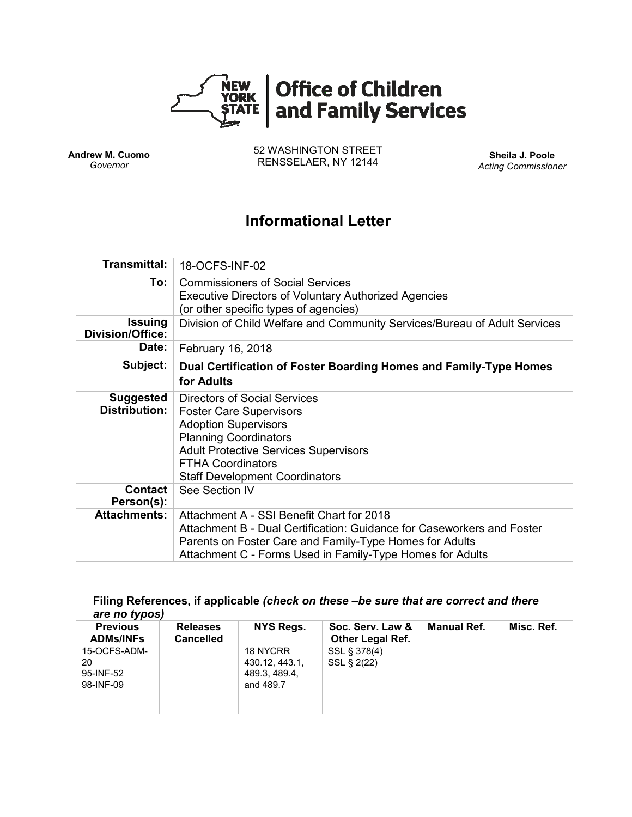

**Andrew M. Cuomo** *Governor*

52 WASHINGTON STREET RENSSELAER, NY 12144 **Sheila J. Poole**

*Acting Commissioner*

# **Informational Letter**

| Transmittal:                              | 18-OCFS-INF-02                                                                                                                                                                                                                                     |  |  |  |  |
|-------------------------------------------|----------------------------------------------------------------------------------------------------------------------------------------------------------------------------------------------------------------------------------------------------|--|--|--|--|
| To:                                       | <b>Commissioners of Social Services</b><br><b>Executive Directors of Voluntary Authorized Agencies</b><br>(or other specific types of agencies)                                                                                                    |  |  |  |  |
| <b>Issuing</b><br><b>Division/Office:</b> | Division of Child Welfare and Community Services/Bureau of Adult Services                                                                                                                                                                          |  |  |  |  |
| Date:                                     | February 16, 2018                                                                                                                                                                                                                                  |  |  |  |  |
| Subject:                                  | Dual Certification of Foster Boarding Homes and Family-Type Homes<br>for Adults                                                                                                                                                                    |  |  |  |  |
| <b>Suggested</b><br><b>Distribution:</b>  | Directors of Social Services<br><b>Foster Care Supervisors</b><br><b>Adoption Supervisors</b><br><b>Planning Coordinators</b><br><b>Adult Protective Services Supervisors</b><br><b>FTHA Coordinators</b><br><b>Staff Development Coordinators</b> |  |  |  |  |
| <b>Contact</b><br>Person(s):              | See Section IV                                                                                                                                                                                                                                     |  |  |  |  |
| <b>Attachments:</b>                       | Attachment A - SSI Benefit Chart for 2018<br>Attachment B - Dual Certification: Guidance for Caseworkers and Foster<br>Parents on Foster Care and Family-Type Homes for Adults<br>Attachment C - Forms Used in Family-Type Homes for Adults        |  |  |  |  |

#### **Filing References, if applicable** *(check on these –be sure that are correct and there are no typos)*

| <b>Previous</b><br><b>ADMs/INFs</b> | <b>Releases</b><br><b>Cancelled</b> | NYS Regs.      | Soc. Serv. Law &<br><b>Other Legal Ref.</b> | <b>Manual Ref.</b> | Misc. Ref. |
|-------------------------------------|-------------------------------------|----------------|---------------------------------------------|--------------------|------------|
| 15-OCFS-ADM-                        |                                     | 18 NYCRR       | SSL § 378(4)                                |                    |            |
| 20                                  |                                     | 430.12, 443.1, | SSL § 2(22)                                 |                    |            |
| 95-INF-52                           |                                     | 489.3, 489.4,  |                                             |                    |            |
| 98-INF-09                           |                                     | and 489.7      |                                             |                    |            |
|                                     |                                     |                |                                             |                    |            |
|                                     |                                     |                |                                             |                    |            |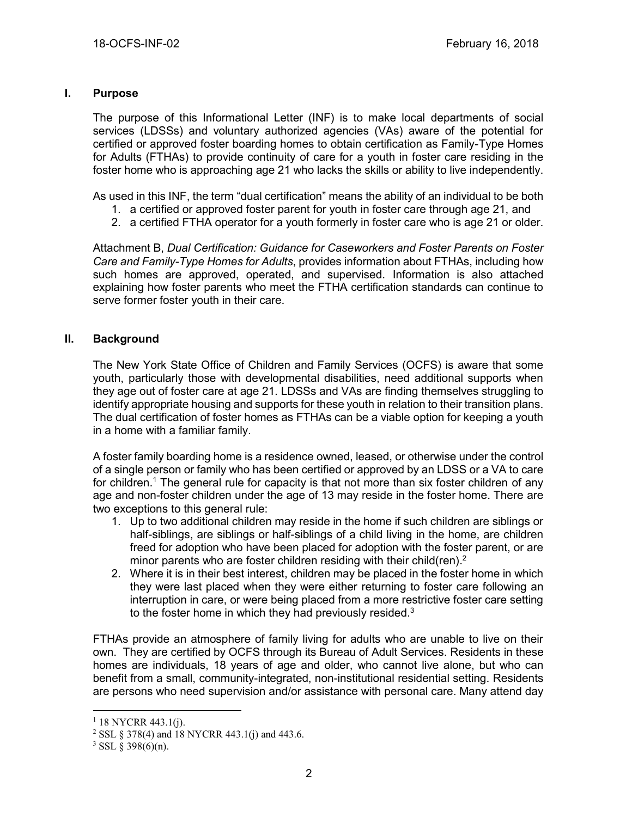## **I. Purpose**

The purpose of this Informational Letter (INF) is to make local departments of social services (LDSSs) and voluntary authorized agencies (VAs) aware of the potential for certified or approved foster boarding homes to obtain certification as Family-Type Homes for Adults (FTHAs) to provide continuity of care for a youth in foster care residing in the foster home who is approaching age 21 who lacks the skills or ability to live independently.

As used in this INF, the term "dual certification" means the ability of an individual to be both

- 1. a certified or approved foster parent for youth in foster care through age 21, and
- 2. a certified FTHA operator for a youth formerly in foster care who is age 21 or older.

Attachment B, *Dual Certification: Guidance for Caseworkers and Foster Parents on Foster Care and Family-Type Homes for Adults*, provides information about FTHAs, including how such homes are approved, operated, and supervised. Information is also attached explaining how foster parents who meet the FTHA certification standards can continue to serve former foster youth in their care.

## **II. Background**

The New York State Office of Children and Family Services (OCFS) is aware that some youth, particularly those with developmental disabilities, need additional supports when they age out of foster care at age 21. LDSSs and VAs are finding themselves struggling to identify appropriate housing and supports for these youth in relation to their transition plans. The dual certification of foster homes as FTHAs can be a viable option for keeping a youth in a home with a familiar family.

A foster family boarding home is a residence owned, leased, or otherwise under the control of a single person or family who has been certified or approved by an LDSS or a VA to care for children.<sup>1</sup> The general rule for capacity is that not more than six foster children of any age and non-foster children under the age of 13 may reside in the foster home. There are two exceptions to this general rule:

- 1. Up to two additional children may reside in the home if such children are siblings or half-siblings, are siblings or half-siblings of a child living in the home, are children freed for adoption who have been placed for adoption with the foster parent, or are minor parents who are foster children residing with their child(ren). $2$
- 2. Where it is in their best interest, children may be placed in the foster home in which they were last placed when they were either returning to foster care following an interruption in care, or were being placed from a more restrictive foster care setting to the foster home in which they had previously resided.<sup>3</sup>

FTHAs provide an atmosphere of family living for adults who are unable to live on their own. They are certified by OCFS through its Bureau of Adult Services. Residents in these homes are individuals, 18 years of age and older, who cannot live alone, but who can benefit from a small, community-integrated, non-institutional residential setting. Residents are persons who need supervision and/or assistance with personal care. Many attend day

 $\overline{a}$ 

 $1$  18 NYCRR 443.1(j).

<sup>2</sup> SSL § 378(4) and 18 NYCRR 443.1(j) and 443.6.

 $3$  SSL § 398(6)(n).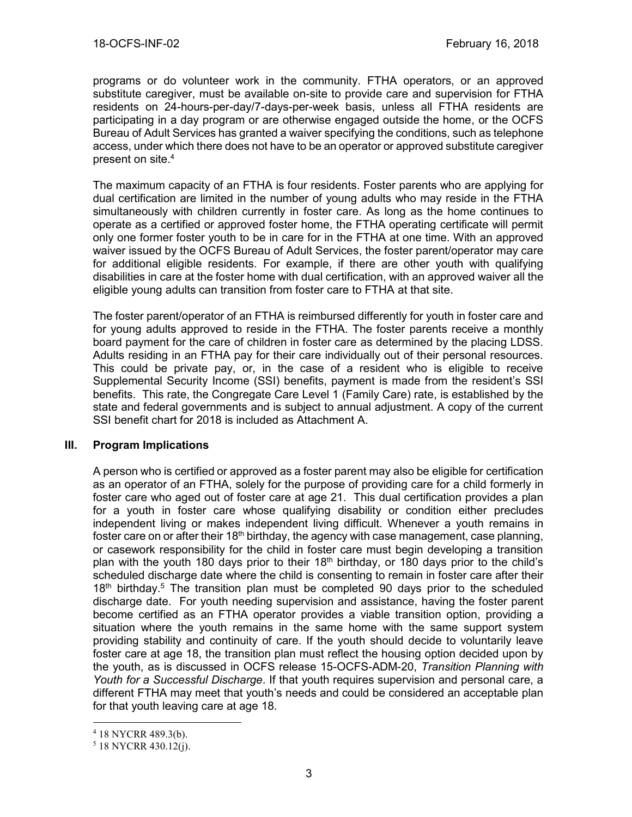programs or do volunteer work in the community. FTHA operators, or an approved substitute caregiver, must be available on-site to provide care and supervision for FTHA residents on 24-hours-per-day/7-days-per-week basis, unless all FTHA residents are participating in a day program or are otherwise engaged outside the home, or the OCFS Bureau of Adult Services has granted a waiver specifying the conditions, such as telephone access, under which there does not have to be an operator or approved substitute caregiver present on site. 4

The maximum capacity of an FTHA is four residents. Foster parents who are applying for dual certification are limited in the number of young adults who may reside in the FTHA simultaneously with children currently in foster care. As long as the home continues to operate as a certified or approved foster home, the FTHA operating certificate will permit only one former foster youth to be in care for in the FTHA at one time. With an approved waiver issued by the OCFS Bureau of Adult Services, the foster parent/operator may care for additional eligible residents. For example, if there are other youth with qualifying disabilities in care at the foster home with dual certification, with an approved waiver all the eligible young adults can transition from foster care to FTHA at that site.

The foster parent/operator of an FTHA is reimbursed differently for youth in foster care and for young adults approved to reside in the FTHA. The foster parents receive a monthly board payment for the care of children in foster care as determined by the placing LDSS. Adults residing in an FTHA pay for their care individually out of their personal resources. This could be private pay, or, in the case of a resident who is eligible to receive Supplemental Security Income (SSI) benefits, payment is made from the resident's SSI benefits. This rate, the Congregate Care Level 1 (Family Care) rate, is established by the state and federal governments and is subject to annual adjustment. A copy of the current SSI benefit chart for 2018 is included as Attachment A.

# **III. Program Implications**

A person who is certified or approved as a foster parent may also be eligible for certification as an operator of an FTHA, solely for the purpose of providing care for a child formerly in foster care who aged out of foster care at age 21. This dual certification provides a plan for a youth in foster care whose qualifying disability or condition either precludes independent living or makes independent living difficult. Whenever a youth remains in foster care on or after their 18<sup>th</sup> birthday, the agency with case management, case planning, or casework responsibility for the child in foster care must begin developing a transition plan with the youth 180 days prior to their  $18<sup>th</sup>$  birthday, or 180 days prior to the child's scheduled discharge date where the child is consenting to remain in foster care after their  $18<sup>th</sup>$  birthday.<sup>5</sup> The transition plan must be completed 90 days prior to the scheduled discharge date. For youth needing supervision and assistance, having the foster parent become certified as an FTHA operator provides a viable transition option, providing a situation where the youth remains in the same home with the same support system providing stability and continuity of care. If the youth should decide to voluntarily leave foster care at age 18, the transition plan must reflect the housing option decided upon by the youth, as is discussed in OCFS release 15-OCFS-ADM-20, *Transition Planning with Youth for a Successful Discharge*. If that youth requires supervision and personal care, a different FTHA may meet that youth's needs and could be considered an acceptable plan for that youth leaving care at age 18.

 $\overline{a}$ 

<sup>4</sup> 18 NYCRR 489.3(b).

<sup>5</sup> 18 NYCRR 430.12(j).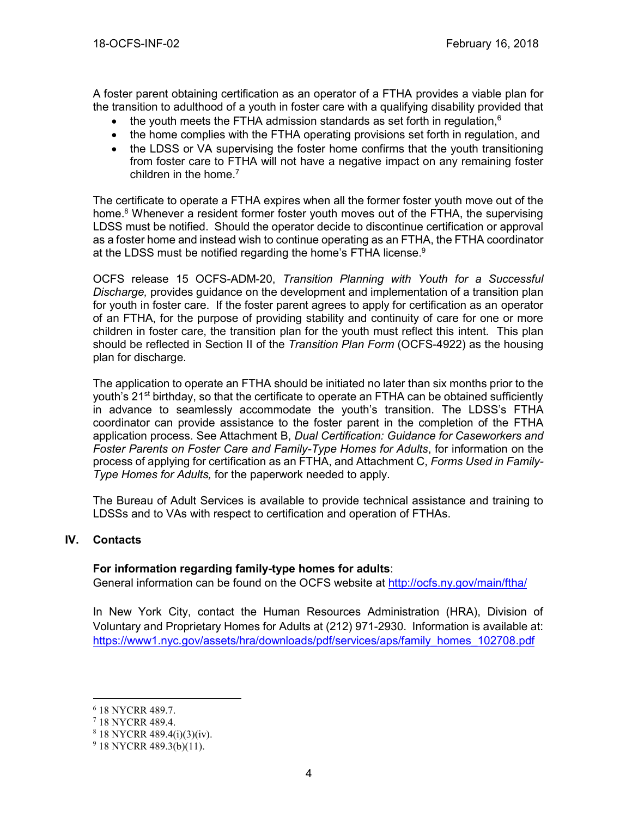A foster parent obtaining certification as an operator of a FTHA provides a viable plan for the transition to adulthood of a youth in foster care with a qualifying disability provided that

- the youth meets the FTHA admission standards as set forth in regulation,  $6$
- the home complies with the FTHA operating provisions set forth in regulation, and
- the LDSS or VA supervising the foster home confirms that the youth transitioning from foster care to FTHA will not have a negative impact on any remaining foster children in the home. 7

The certificate to operate a FTHA expires when all the former foster youth move out of the home.<sup>8</sup> Whenever a resident former foster youth moves out of the FTHA, the supervising LDSS must be notified. Should the operator decide to discontinue certification or approval as a foster home and instead wish to continue operating as an FTHA, the FTHA coordinator at the LDSS must be notified regarding the home's FTHA license.<sup>9</sup>

OCFS release 15 OCFS-ADM-20, *Transition Planning with Youth for a Successful Discharge,* provides guidance on the development and implementation of a transition plan for youth in foster care. If the foster parent agrees to apply for certification as an operator of an FTHA, for the purpose of providing stability and continuity of care for one or more children in foster care, the transition plan for the youth must reflect this intent. This plan should be reflected in Section II of the *Transition Plan Form* (OCFS-4922) as the housing plan for discharge.

The application to operate an FTHA should be initiated no later than six months prior to the youth's 21<sup>st</sup> birthday, so that the certificate to operate an FTHA can be obtained sufficiently in advance to seamlessly accommodate the youth's transition. The LDSS's FTHA coordinator can provide assistance to the foster parent in the completion of the FTHA application process. See Attachment B, *Dual Certification: Guidance for Caseworkers and Foster Parents on Foster Care and Family-Type Homes for Adults*, for information on the process of applying for certification as an FTHA, and Attachment C, *Forms Used in Family-Type Homes for Adults,* for the paperwork needed to apply.

The Bureau of Adult Services is available to provide technical assistance and training to LDSSs and to VAs with respect to certification and operation of FTHAs.

# **IV. Contacts**

 $\overline{a}$ 

### **For information regarding family-type homes for adults**:

General information can be found on the OCFS website at<http://ocfs.ny.gov/main/ftha/>

In New York City, contact the Human Resources Administration (HRA), Division of Voluntary and Proprietary Homes for Adults at (212) 971-2930. Information is available at: [https://www1.nyc.gov/assets/hra/downloads/pdf/services/aps/family\\_homes\\_102708.pdf](https://www1.nyc.gov/assets/hra/downloads/pdf/services/aps/family_homes_102708.pdf)

<sup>6</sup> 18 NYCRR 489.7.

<sup>7</sup> 18 NYCRR 489.4.

<sup>8</sup> 18 NYCRR 489.4(i)(3)(iv).

 $9$  18 NYCRR 489.3(b)(11).